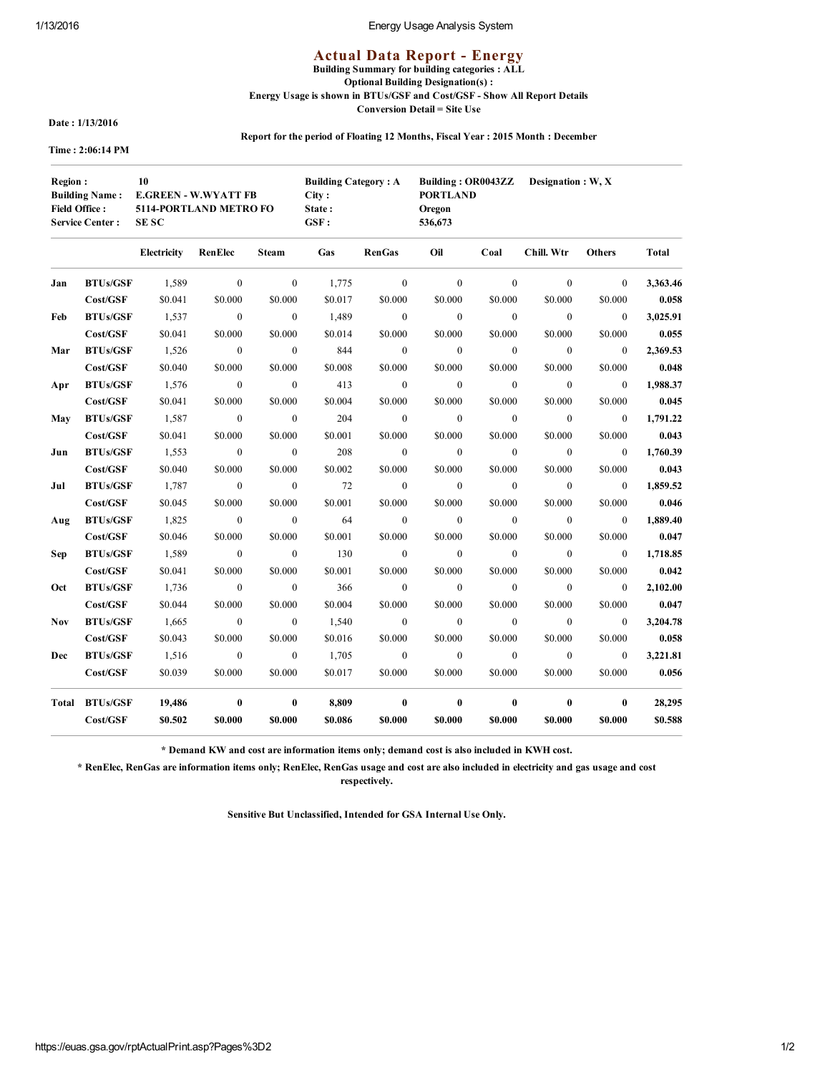### 1/13/2016 Energy Usage Analysis System

# **Actual Data Report - Energy**

Building Summary for building categories : ALL Optional Building Designation(s) :

Energy Usage is shown in BTUs/GSF and Cost/GSF Show All Report Details

Conversion Detail = Site Use

Date : 1/13/2016

Report for the period of Floating 12 Months, Fiscal Year : 2015 Month : December

Time : 2:06:14 PM

| <b>Region:</b><br>10<br><b>Building Name:</b><br><b>Field Office:</b><br><b>Service Center:</b> |                 | <b>E.GREEN - W.WYATT FB</b><br>5114-PORTLAND METRO FO<br><b>SESC</b> |                |                          | <b>Building Category: A</b><br>City:<br>State:<br>GSF: |                          | Building: OR0043ZZ Designation: W, X<br><b>PORTLAND</b><br>Oregon<br>536,673 |                         |                |                |              |  |
|-------------------------------------------------------------------------------------------------|-----------------|----------------------------------------------------------------------|----------------|--------------------------|--------------------------------------------------------|--------------------------|------------------------------------------------------------------------------|-------------------------|----------------|----------------|--------------|--|
|                                                                                                 |                 | <b>Electricity</b>                                                   | RenElec        | Steam                    | Gas                                                    | <b>RenGas</b>            | Oil                                                                          | Coal                    | Chill. Wtr     | <b>Others</b>  | <b>Total</b> |  |
| Jan                                                                                             | <b>BTUs/GSF</b> | 1,589                                                                | $\mathbf{0}$   | $\mathbf{0}$             | 1,775                                                  | $\mathbf{0}$             | $\mathbf{0}$                                                                 | $\mathbf{0}$            | $\mathbf{0}$   | $\mathbf{0}$   | 3,363.46     |  |
|                                                                                                 | Cost/GSF        | \$0.041                                                              | \$0.000        | \$0.000                  | \$0.017                                                | \$0.000                  | \$0.000                                                                      | \$0.000                 | \$0.000        | \$0.000        | 0.058        |  |
| Feb                                                                                             | <b>BTUs/GSF</b> | 1,537                                                                | $\mathbf{0}$   | $\mathbf{0}$             | 1,489                                                  | $\overline{0}$           | $\boldsymbol{0}$                                                             | $\mathbf{0}$            | $\mathbf{0}$   | $\overline{0}$ | 3,025.91     |  |
|                                                                                                 | Cost/GSF        | \$0.041                                                              | \$0.000        | \$0.000                  | \$0.014                                                | \$0.000                  | \$0.000                                                                      | \$0.000                 | \$0.000        | \$0.000        | 0.055        |  |
| Mar                                                                                             | <b>BTUs/GSF</b> | 1,526                                                                | $\mathbf{0}$   | $\mathbf{0}$             | 844                                                    | $\overline{0}$           | $\overline{0}$                                                               | $\overline{0}$          | $\overline{0}$ | $\overline{0}$ | 2,369.53     |  |
|                                                                                                 | Cost/GSF        | \$0.040                                                              | \$0.000        | \$0.000                  | \$0.008                                                | \$0.000                  | \$0.000                                                                      | \$0.000                 | \$0.000        | \$0.000        | 0.048        |  |
| Apr                                                                                             | <b>BTUs/GSF</b> | 1,576                                                                | $\mathbf{0}$   | $\overline{0}$           | 413                                                    | $\overline{0}$           | $\mathbf{0}$                                                                 | $\mathbf{0}$            | $\mathbf{0}$   | $\overline{0}$ | 1,988.37     |  |
|                                                                                                 | Cost/GSF        | \$0.041                                                              | \$0.000        | \$0.000                  | \$0.004                                                | \$0.000                  | \$0.000                                                                      | \$0.000                 | \$0.000        | \$0.000        | 0.045        |  |
| <b>May</b>                                                                                      | <b>BTUs/GSF</b> | 1,587                                                                | $\mathbf{0}$   | $\overline{\phantom{0}}$ | 204                                                    | $\overline{\phantom{0}}$ | $\mathbf{0}$                                                                 | $\overline{\mathbf{0}}$ | $\overline{0}$ | $\mathbf{0}$   | 1,791.22     |  |
|                                                                                                 | Cost/GSF        | \$0.041                                                              | \$0.000        | \$0.000                  | \$0.001                                                | \$0.000                  | \$0.000                                                                      | \$0.000                 | \$0.000        | \$0.000        | 0.043        |  |
| Jun                                                                                             | <b>BTUs/GSF</b> | 1,553                                                                | $\bf{0}$       | $\mathbf{0}$             | 208                                                    | $\theta$                 | $\mathbf{0}$                                                                 | $\overline{0}$          | $\overline{0}$ | $\overline{0}$ | 1,760.39     |  |
|                                                                                                 | Cost/GSF        | \$0.040                                                              | \$0.000        | \$0.000                  | \$0.002                                                | \$0.000                  | \$0.000                                                                      | \$0.000                 | \$0.000        | \$0.000        | 0.043        |  |
| Jul                                                                                             | <b>BTUs/GSF</b> | 1,787                                                                | $\overline{0}$ | $\mathbf{0}$             | 72                                                     | $\sim 0$                 | $\overline{0}$                                                               | $\mathbf{0}$            | $\overline{0}$ | $\overline{0}$ | 1,859.52     |  |
|                                                                                                 | Cost/GSF        | \$0.045                                                              | \$0.000        | \$0.000                  | \$0.001                                                | \$0.000                  | \$0.000                                                                      | \$0.000                 | \$0.000        | \$0.000        | 0.046        |  |
| Aug                                                                                             | <b>BTUs/GSF</b> | 1,825                                                                | $\mathbf{0}$   | $\mathbf{0}$             | 64                                                     | $\mathbf{0}$             | $\boldsymbol{0}$                                                             | $\overline{0}$          | $\mathbf{0}$   | $\mathbf{0}$   | 1,889.40     |  |
|                                                                                                 | Cost/GSF        | \$0.046                                                              | \$0.000        | \$0.000                  | \$0.001                                                | \$0.000                  | \$0.000                                                                      | \$0.000                 | \$0.000        | \$0.000        | 0.047        |  |
| Sep                                                                                             | <b>BTUs/GSF</b> | 1,589                                                                | $\bf{0}$       | $\mathbf{0}$             | 130                                                    | $\overline{0}$           | $\mathbf{0}$                                                                 | $\overline{0}$          | $\mathbf{0}$   | $\overline{0}$ | 1,718.85     |  |
|                                                                                                 | Cost/GSF        | \$0.041                                                              | \$0.000        | \$0.000                  | \$0.001                                                | \$0.000                  | \$0.000                                                                      | \$0.000                 | \$0.000        | \$0.000        | 0.042        |  |
| Oct                                                                                             | <b>BTUs/GSF</b> | 1,736                                                                | $\mathbf{0}$   | $\overline{0}$           | 366                                                    | $\overline{0}$           | $\overline{0}$                                                               | $\overline{0}$          | $\mathbf{0}$   | $\overline{0}$ | 2,102.00     |  |
|                                                                                                 | Cost/GSF        | \$0.044                                                              | \$0.000        | \$0.000                  | \$0.004                                                | \$0.000                  | \$0.000                                                                      | \$0.000                 | \$0.000        | \$0.000        | 0.047        |  |
| Nov                                                                                             | <b>BTUs/GSF</b> | 1,665                                                                | $\bf{0}$       | $\mathbf{0}$             | 1,540                                                  | $\overline{0}$           | $\mathbf{0}$                                                                 | $\mathbf{0}$            | $\theta$       | $\mathbf{0}$   | 3,204.78     |  |
|                                                                                                 | Cost/GSF        | \$0.043                                                              | \$0.000        | \$0.000                  | \$0.016                                                | \$0.000                  | \$0.000                                                                      | \$0.000                 | \$0.000        | \$0.000        | 0.058        |  |
| Dec                                                                                             | <b>BTUs/GSF</b> | 1,516                                                                | $\mathbf{0}$   | $\mathbf{0}$             | 1,705                                                  | $\overline{\mathbf{0}}$  | $\mathbf{0}$                                                                 | $\bf{0}$                | $\overline{0}$ | $\mathbf{0}$   | 3,221.81     |  |
|                                                                                                 | Cost/GSF        | \$0.039                                                              | \$0.000        | \$0.000                  | \$0.017                                                | \$0.000                  | \$0.000                                                                      | \$0.000                 | \$0.000        | \$0.000        | 0.056        |  |
|                                                                                                 | Total BTUs/GSF  | 19,486                                                               | $\pmb{0}$      | $\bf{0}$                 | 8,809                                                  | $\mathbf{0}$             | $\bf{0}$                                                                     | $\bf{0}$                | $\bf{0}$       | $\bf{0}$       | 28,295       |  |
|                                                                                                 | Cost/GSF        | \$0.502                                                              | \$0.000        | \$0.000                  | \$0.086                                                | \$0.000                  | \$0.000                                                                      | \$0.000                 | \$0.000        | \$0.000        | \$0.588      |  |

\* Demand KW and cost are information items only; demand cost is also included in KWH cost.

\* RenElec, RenGas are information items only; RenElec, RenGas usage and cost are also included in electricity and gas usage and cost respectively.

Sensitive But Unclassified, Intended for GSA Internal Use Only.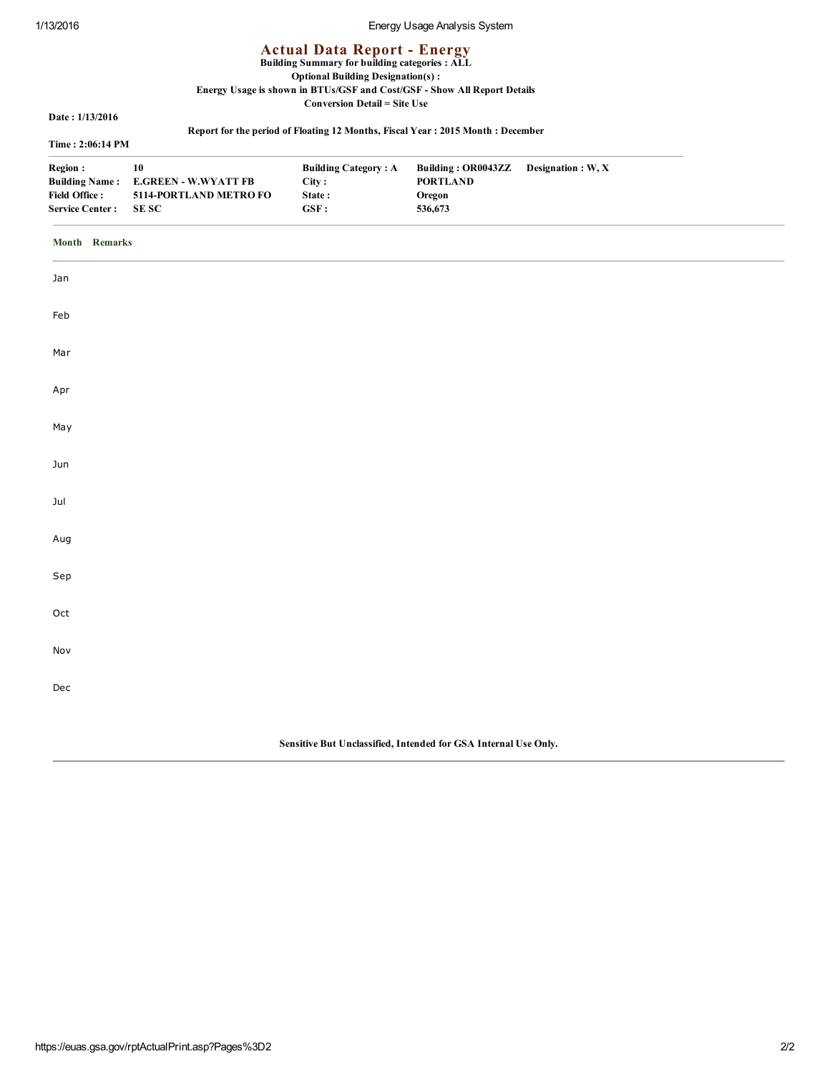# 1/13/2016 Energy Usage Analysis System

# **Actual Data Report - Energy**

#### Building Summary for building categories : ALL

# Optional Building Designation(s) :

# Energy Usage is shown in BTUs/GSF and Cost/GSF Show All Report Details

Conversion Detail = Site Use

Date : 1/13/2016

### Time : 2:06:14 PM

# Report for the period of Floating 12 Months, Fiscal Year : 2015 Month : December

| 1'ime : 2:06:14 PM |  |  |  |
|--------------------|--|--|--|
|                    |  |  |  |

|  |  | ort for the period of Floating 12 Months, Fiscal Year : 2015 Month : Decembe |
|--|--|------------------------------------------------------------------------------|
|  |  |                                                                              |

| Region:                | 10                                  | <b>Building Category: A</b> | Building: OR0043ZZ Designation: W, X |  |
|------------------------|-------------------------------------|-----------------------------|--------------------------------------|--|
|                        | Building Name: E.GREEN - W.WYATT FB | City:                       | <b>PORTLAND</b>                      |  |
| <b>Field Office:</b>   | 5114-PORTLAND METRO FO              | State:                      | Oregon                               |  |
| <b>Service Center:</b> | -SE SC                              | GSF:                        | 536,673                              |  |

#### Month Remarks

| Jan                                                             |  |  |  |  |  |
|-----------------------------------------------------------------|--|--|--|--|--|
| Feb                                                             |  |  |  |  |  |
| Mar                                                             |  |  |  |  |  |
| Apr                                                             |  |  |  |  |  |
| May                                                             |  |  |  |  |  |
| Jun                                                             |  |  |  |  |  |
| Jul                                                             |  |  |  |  |  |
| Aug                                                             |  |  |  |  |  |
| Sep                                                             |  |  |  |  |  |
| Oct                                                             |  |  |  |  |  |
| Nov                                                             |  |  |  |  |  |
| Dec                                                             |  |  |  |  |  |
|                                                                 |  |  |  |  |  |
| Sensitive But Unclassified, Intended for GSA Internal Use Only. |  |  |  |  |  |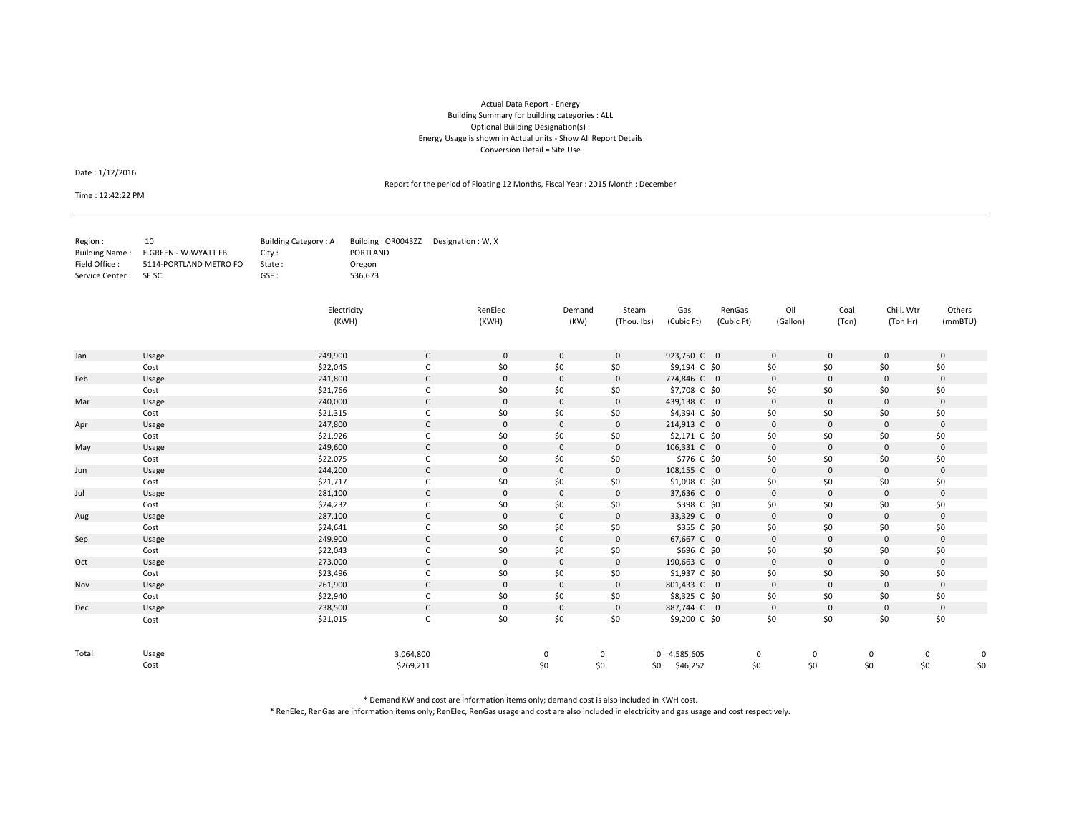#### Actual Data Report ‐ Energy Building Summary for building categories : ALL Optional Building Designation(s) : Energy Usage is shown in Actual units ‐ Show All Report Details Conversion Detail <sup>=</sup> Site Use

Date : 1/12/2016

Report for the period of Floating 12 Months, Fiscal Year : 2015 Month : December

Time : 12:42:22 PM

| Region :              | 10                                  | Building Category: A | Building: OR0043ZZ Designation: W.X. |  |
|-----------------------|-------------------------------------|----------------------|--------------------------------------|--|
|                       | Building Name: E.GREEN - W.WYATT FB | City :               | PORTLAND                             |  |
| Field Office :        | 5114-PORTLAND METRO FO              | State:               | Oregon                               |  |
| Service Center : SESC |                                     | $GSF$ :              | 536.673                              |  |

|       |       | Electricity<br>(KWH) |              | RenElec<br>(KWH) | Demand<br>(KW) | Steam<br>(Thou. lbs) | Gas<br>(Cubic Ft) | RenGas<br>(Cubic Ft) | Oil<br>(Gallon) | Coal<br>(Ton) | Chill. Wtr<br>(Ton Hr) | Others<br>(mmBTU) |     |
|-------|-------|----------------------|--------------|------------------|----------------|----------------------|-------------------|----------------------|-----------------|---------------|------------------------|-------------------|-----|
|       |       |                      |              |                  |                |                      |                   |                      |                 |               |                        |                   |     |
| Jan   | Usage | 249,900              | $\mathsf{C}$ | $\mathbf 0$      | $\mathbf{0}$   | $\mathbf 0$          | 923,750 C 0       |                      | $\mathbf 0$     | $\mathbf 0$   | $\mathbf 0$            | $\mathbf 0$       |     |
|       | Cost  | \$22,045             | C            | \$0              | \$0            | \$0                  | \$9,194 C \$0     |                      | \$0             | \$0           | \$0                    | \$0               |     |
| Feb   | Usage | 241,800              | $\mathsf{C}$ | $\mathbf{0}$     | $\mathbf 0$    | $\mathbf 0$          | 774,846 C 0       |                      | $\mathbf 0$     | $\mathbf{0}$  | $\mathbf{0}$           | $\mathbf 0$       |     |
|       | Cost  | \$21,766             | C            | \$0              | \$0            | \$0                  | \$7,708 C \$0     |                      | \$0             | \$0           | \$0                    | \$0               |     |
| Mar   | Usage | 240,000              | C            | $\mathbf{0}$     | $\mathbf 0$    | $\mathbf 0$          | 439,138 C 0       |                      | $\mathbf{0}$    | $\mathbf 0$   | $\mathbf{0}$           | $\mathbf 0$       |     |
|       | Cost  | \$21,315             |              | \$0              | \$0            | \$0                  | \$4,394 C \$0     |                      | \$0             | \$0           | \$0                    | \$0               |     |
| Apr   | Usage | 247,800              | C            | $\mathbf 0$      | $\mathbf 0$    | $\mathbf 0$          | 214,913 C 0       |                      | $\mathbf 0$     | $\mathbf 0$   | $\mathbf 0$            | $\mathbf 0$       |     |
|       | Cost  | \$21,926             | C            | \$0              | \$0            | \$0                  | \$2,171 C \$0     |                      | \$0             | \$0           | \$0                    | \$0               |     |
| May   | Usage | 249,600              | C            | $\mathbf 0$      | $\mathbf 0$    | $\mathbf 0$          | 106,331 C 0       |                      | $\mathbf 0$     | $\mathbf 0$   | $\mathbf 0$            | $\mathbf 0$       |     |
|       | Cost  | \$22,075             | C            | \$0              | \$0            | \$0                  | \$776 C \$0       |                      | \$0             | \$0           | \$0                    | \$0               |     |
| Jun   | Usage | 244,200              | $\mathsf{C}$ | $\mathbf 0$      | $\mathbf 0$    | $\mathbf 0$          | 108,155 C 0       |                      | $\mathbf 0$     | $\mathbf{0}$  | $\mathbf 0$            | $\mathbf 0$       |     |
|       | Cost  | \$21,717             | c            | \$0              | \$0            | \$0                  | \$1,098 C \$0     |                      | \$0             | \$0           | \$0                    | \$0               |     |
| Jul   | Usage | 281,100              | C            | $\mathbf 0$      | $\mathbf 0$    | $\mathbf 0$          | 37,636 C 0        |                      | $\mathbf 0$     | $\mathbf 0$   | $\mathbf 0$            | $\mathbf 0$       |     |
|       | Cost  | \$24,232             |              | \$0              | \$0            | \$0                  | \$398 C \$0       |                      | \$0             | \$0           | \$0                    | \$0               |     |
| Aug   | Usage | 287,100              | C            | $\mathbf{0}$     | $\mathbf{0}$   | $\mathbf 0$          | 33,329 C 0        |                      | $\mathbf{0}$    | $\mathbf{0}$  | $\mathbf 0$            | $\mathbf{0}$      |     |
|       | Cost  | \$24,641             | C            | \$0              | \$0            | \$0                  | \$355 C \$0       |                      | \$0             | \$0           | \$0                    | \$0               |     |
| Sep   | Usage | 249,900              | C            | $\mathbf 0$      | $\mathbf 0$    | $\mathbf 0$          | 67,667 C 0        |                      | $\mathbf 0$     | $\mathbf 0$   | $\mathbf 0$            | $\mathbf 0$       |     |
|       | Cost  | \$22,043             | C            | \$0              | \$0            | \$0                  | \$696 C \$0       |                      | \$0             | \$0           | \$0                    | \$0               |     |
| Oct   | Usage | 273,000              | C            | $\mathbf 0$      | $\mathbf{0}$   | $\mathbf{0}$         | 190,663 C 0       |                      | $\mathbf{0}$    | $\mathbf{0}$  | $\mathbf{0}$           | $\mathbf 0$       |     |
|       | Cost  | \$23,496             | c            | \$0              | \$0            | \$0                  | \$1,937 C \$0     |                      | \$0             | \$0           | \$0                    | \$0               |     |
| Nov   | Usage | 261,900              | C            | $\mathbf{0}$     | $\mathbf{0}$   | $\mathbf{0}$         | 801,433 C 0       |                      | $\mathbf{0}$    | $\mathbf{0}$  | $\mathbf{0}$           | $\mathbf{0}$      |     |
|       | Cost  | \$22,940             | C            | \$0              | \$0            | \$0                  | \$8,325 C \$0     |                      | \$0             | \$0           | \$0                    | \$0               |     |
| Dec   | Usage | 238,500              | $\mathsf{C}$ | $\mathbf 0$      | $\mathbf 0$    | $\mathbf 0$          | 887,744 C 0       |                      | $\mathbf 0$     | $\mathbf 0$   | $\mathbf 0$            | $\mathbf 0$       |     |
|       | Cost  | \$21,015             | C            | \$0              | \$0            | \$0                  | \$9,200 C \$0     |                      | \$0             | \$0           | \$0                    | \$0               |     |
| Total | Usage |                      | 3,064,800    |                  | 0              | 0                    | 0 4,585,605       |                      | 0               | 0             | 0                      | 0                 |     |
|       | Cost  |                      | \$269,211    |                  | \$0            | \$0                  | \$46,252<br>\$0   | \$0                  |                 | \$0           | \$0                    | \$0               | \$0 |

\* Demand KW and cost are information items only; demand cost is also included in KWH cost.

\* RenElec, RenGas are information items only; RenElec, RenGas usage and cost are also included in electricity and gas usage and cost respectively.